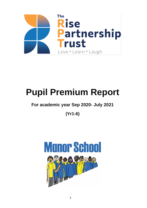

# **Pupil Premium Report**

# **For academic year Sep 2020- July 2021**

**(Yr1-6)**

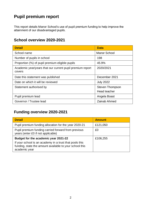# **Pupil premium report**

This report details Manor School's use of pupil premium funding to help improve the attainment of our disadvantaged pupils.

## **School overview 2020-2021**

| <b>Detail</b>                                                       | <b>Data</b>         |  |
|---------------------------------------------------------------------|---------------------|--|
| School name                                                         | <b>Manor School</b> |  |
| Number of pupils in school                                          | 198                 |  |
| Proportion (%) of pupil premium eligible pupils                     | 45.9%               |  |
| Academic year/years that our current pupil premium report<br>covers | 2020/2021           |  |
| Date this statement was published                                   | December 2021       |  |
| Date on which it will be reviewed                                   | <b>July 2022</b>    |  |
| Statement authorised by                                             | Steven Thompson     |  |
|                                                                     | Head teacher        |  |
| Pupil premium lead                                                  | Angela Boast        |  |
| Governor / Trustee lead                                             | Zainab Ahmed        |  |

## **Funding overview 2020-2021**

| <b>Detail</b>                                                                                                                       | <b>Amount</b> |
|-------------------------------------------------------------------------------------------------------------------------------------|---------------|
| Pupil premium funding allocation for the year 2020-21                                                                               | £121,050      |
| Pupil premium funding carried forward from previous<br>years (enter £0 if not applicable)                                           | £0            |
| Budget for the academic year 2021-22                                                                                                | £106,255      |
| If your school is an academy in a trust that pools this<br>funding, state the amount available to your school this<br>academic year |               |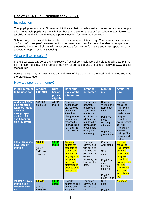### **Use of Yr1-6 Pupil Premium for 2020-21**

#### **Introduction**

The pupil premium is a Government initiative that provides extra money for vulnerable pupils. Vulnerable pupils are identified as those who are in receipt of free school meals, looked after children and children who have a parent working for the armed services.

Schools may use their data to decide how best to spend this money. The money must be spent on *'narrowing the gap'* between pupils who have been identified as vulnerable in comparison to those who have not. Schools will be accountable for their performance and must report this on all aspects of Pupil Premium Spending.

#### What will we receive?

In the Year 2020-21, 90 pupils who receive free school meals were eligible to receive £1,345 Pupil Premium Funding. This represented 46% of our pupils and the school received **£121,050** for these pupils

Across Years 1- 6, this was 80 pupils and 46% of the cohort and the total funding allocated was therefore **£107,600**

#### How we spent the money?

| <b>Pupil Premium</b><br>to be used for                                                                                                               | <b>Amount</b><br>allocated                    | Num-<br>ber of<br>pupils<br>eligible | <b>Brief sum-</b><br>mary of the<br><b>intervention</b>                                                                                                                    | <b>Intended</b><br>outcomes                                                                                                                                                | <b>Monitor-</b><br>ing                                                                                                       | <b>Actual im-</b><br>pact                                                                                                                                                                            |
|------------------------------------------------------------------------------------------------------------------------------------------------------|-----------------------------------------------|--------------------------------------|----------------------------------------------------------------------------------------------------------------------------------------------------------------------------|----------------------------------------------------------------------------------------------------------------------------------------------------------------------------|------------------------------------------------------------------------------------------------------------------------------|------------------------------------------------------------------------------------------------------------------------------------------------------------------------------------------------------|
| <b>Additional PPA</b><br>time for class<br>teachers (made<br>available<br>through spe-<br><b>cialist HLTA</b><br>and tutor / mu-<br>sic / PE cover). | £44,600<br>projected                          | All PP<br><b>Pupils</b>              | All class<br>based teach-<br>ers received<br>additional<br>PPA time to<br>plan prepare<br>deliver moni-<br>tor specific<br>interventions<br>for Pupil Pre-<br>mium Pupils. | For the gap<br>between<br>progress of<br>Pupil Premi-<br>um Pupils<br>and Non Pu-<br>pil Premium<br>pupils to be<br>narrowed in<br>reading and<br>writing and<br>numeracy. | Reading,<br>Writing and<br>Numeracy<br>data<br><b>Pupil Pro-</b><br>gress<br>Meeting<br>minutes<br>Pupil Pro-<br>gress Plans | Pupils in<br>receipt of<br>Pupil Premi-<br>um have<br>made better<br>progress<br>than those<br>not in receipt<br>of Pupil<br>Premium in<br>Reading,<br>Writing, Nu-<br>meracy and<br>PSHE.           |
| <b>Elklan language</b><br>development<br>training                                                                                                    | £3,800<br>$(-£440$<br>EYFS con-<br>tribution) | <b>80 PP</b><br><b>Pupils</b>        | 10 week<br>course for<br>teachers to<br>gain under-<br>standing of<br>language de-<br>velopment<br>and apply<br>strategies in<br>class to sup-<br>port pupils.             | For pupils<br>communica-<br>tion skills to<br>improve. Pu-<br>pils to meet /<br>exceed<br>speaking and<br>listening tar-<br>gets.                                          | Course-<br>work tasks<br>SP/LIS<br>data<br>Pupil Pro-<br>gress<br>Meeting<br>minutes<br>Pupil Pro-<br>gress Plans            | <b>Pupils in</b><br>receipt of<br><b>Pupil Premi-</b><br>um have<br>made more<br>progress<br>than those<br>not in receipt<br>of Pupil<br><b>Premium in</b><br><b>Speaking</b><br>and Listen-<br>ing. |
| <b>Makaton /PECS</b><br>training and<br>resources for<br>staff                                                                                       | £3,600<br>$(-£440$<br>EYFS con-               | 80 PP<br>pupils                      | 8 week<br>course to train<br>staff to use<br>Stages of                                                                                                                     | For pupils<br>communica-<br>tion skills to<br>$im-$                                                                                                                        | SP/LIS<br>data<br>Pupil Pro-                                                                                                 | As above                                                                                                                                                                                             |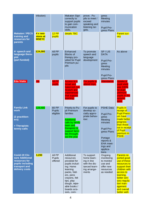|                                                                                                          | tribution)                           |                                    | <b>Makaton Sign</b><br>correctly to<br>support pupils<br>to gain com-<br>munication<br>skills.                                                                                                                | prove. Pu-<br>pils to meet /<br>exceed<br>speaking and<br>listening tar-<br>gets.                   | gress<br>Meeting<br>minutes<br>Pupil Pro-<br>gress Plans                                                                                                                       |                                                                                                                                                                                                                     |
|----------------------------------------------------------------------------------------------------------|--------------------------------------|------------------------------------|---------------------------------------------------------------------------------------------------------------------------------------------------------------------------------------------------------------|-----------------------------------------------------------------------------------------------------|--------------------------------------------------------------------------------------------------------------------------------------------------------------------------------|---------------------------------------------------------------------------------------------------------------------------------------------------------------------------------------------------------------------|
| <b>Makaton / PECS</b><br>training and<br>resources for<br>parents                                        | 4 x ses-<br>sions at<br><b>MSEYC</b> | $12$ PP<br>pupils                  | details TBC                                                                                                                                                                                                   |                                                                                                     |                                                                                                                                                                                | <b>Parent sur-</b><br>vey                                                                                                                                                                                           |
| 4 <sup>th</sup> speech and<br>language thera-<br>pist<br>(part funded)                                   | £24,000                              | All PP<br>pupils                   | Enhanced<br><b>Blocks of</b><br>therapy pro-<br>vided for Pupil<br>Premium pu-<br>pils                                                                                                                        | To promote<br>speech and<br>language<br>development                                                 | SP/LIS<br><b>DATA</b><br><b>Pupil Pro-</b><br>gress<br>Meeting<br>minutes<br><b>Pupil Pro-</b><br>gress Plans                                                                  | As above                                                                                                                                                                                                            |
| <b>Edu Visits</b>                                                                                        | n/a                                  | <b>AII PP</b><br>pupils            | <b>Access to a</b><br>broad and<br><b>balanced cur-</b><br>riculum and<br>experiences<br>that support<br>learning.                                                                                            | For pupils to<br>attend trips.                                                                      | <b>Attendance</b>                                                                                                                                                              | <b>Uptake of</b><br>pupil visits<br>was 100%<br>for pupil<br>premium<br>pupils in the<br>autumn<br>term                                                                                                             |
| <b>Family Link</b><br>work<br>(2 practition-<br>ers)<br>+ Therapists<br>termly calls                     | £28,400                              | 80 PP<br><b>Pupils</b><br>eligible | Priority to Pu-<br>pil Premium<br>families<br><b>Additional</b><br>calls by family<br>team and<br>therapists to<br>support fami-<br>lies through-<br>out the year                                             | For pupils to<br>develop so-<br>cially appro-<br>priate behav-<br>jour.                             | <b>PSHE Data</b><br>Pupil Pro-<br>gress<br>Meeting<br>minutes<br><b>Pupil Pro-</b><br>gress Plans<br>Portage<br>reports &<br><b>EHA</b> meet-<br>ings and<br>applica-<br>tions | <b>Pupils in</b><br>receipt of<br><b>Pupil Premi-</b><br>um have<br>made better<br>progress<br>than those<br>not in receipt<br>of Pupil<br>premium in<br><b>PSHE.</b>                                               |
| Covid-19 Clo-<br>sure Additional<br>resources for<br>pupils including<br>transport and<br>delivery costs | 3,200                                | All PP<br><b>Pupils</b><br>offered | Additional<br>resources<br>provided for<br>pupils includ-<br>ing: Home<br>learning<br>packs, fold-<br>ers, pens<br>crayons, felt<br>tips, play<br>dough, wipe-<br>able books /<br>boards scis-<br>sors, corn- | To support<br>home learn-<br>ing in line<br>with the dis-<br>tanced learn-<br>ing arrange-<br>ments | Ongoing<br>monitoring<br>to monitor<br>use and<br>offer new<br>resources<br>as needed                                                                                          | <b>Parents re-</b><br>ported good<br>use of these<br>resources to<br>support their<br>children with<br>access to<br>learning,<br>better sen-<br>sory regula-<br>tion man-<br>agement<br>and overall<br>better well- |